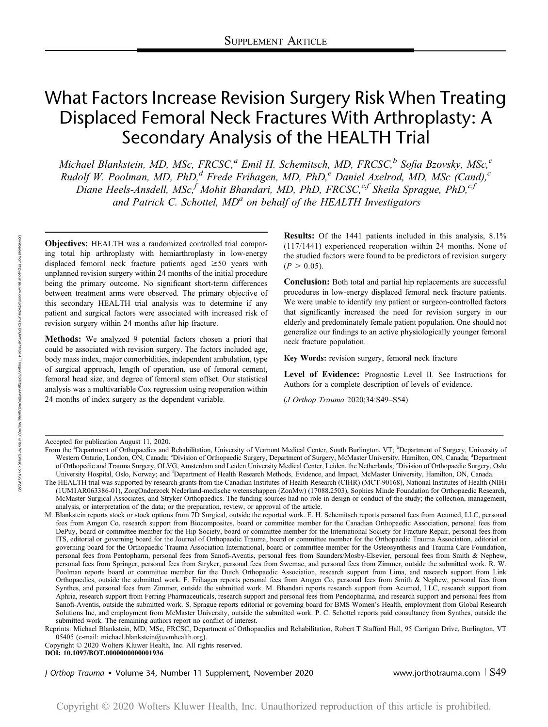# What Factors Increase Revision Surgery Risk When Treating Displaced Femoral Neck Fractures With Arthroplasty: A Secondary Analysis of the HEALTH Trial

Michael Blankstein, MD, MSc, FRCSC,<sup>a</sup> Emil H. Schemitsch, MD, FRCSC, $b$  Sofia Bzovsky, MSc, $c$ Rudolf W. Poolman, MD, PhD,<sup>d</sup> Frede Frihagen, MD, PhD,<sup>e</sup> Daniel Axelrod, MD, MSc (Cand),<sup>c</sup> Diane Heels-Ansdell,  $MSc<sub>i</sub>$  Mohit Bhandari, MD, PhD, FRCSC,<sup>c,f</sup> Sheila Sprague, PhD,<sup>c,f</sup> and Patrick C. Schottel,  $MD<sup>a</sup>$  on behalf of the HEALTH Investigators

Objectives: HEALTH was a randomized controlled trial comparing total hip arthroplasty with hemiarthroplasty in low-energy displaced femoral neck fracture patients aged  $\geq 50$  years with unplanned revision surgery within 24 months of the initial procedure being the primary outcome. No significant short-term differences between treatment arms were observed. The primary objective of this secondary HEALTH trial analysis was to determine if any patient and surgical factors were associated with increased risk of revision surgery within 24 months after hip fracture.

Methods: We analyzed 9 potential factors chosen a priori that could be associated with revision surgery. The factors included age, body mass index, major comorbidities, independent ambulation, type of surgical approach, length of operation, use of femoral cement, femoral head size, and degree of femoral stem offset. Our statistical analysis was a multivariable Cox regression using reoperation within 24 months of index surgery as the dependent variable.

Results: Of the 1441 patients included in this analysis, 8.1% (117/1441) experienced reoperation within 24 months. None of the studied factors were found to be predictors of revision surgery  $(P > 0.05)$ .

Conclusion: Both total and partial hip replacements are successful procedures in low-energy displaced femoral neck fracture patients. We were unable to identify any patient or surgeon-controlled factors that significantly increased the need for revision surgery in our elderly and predominately female patient population. One should not generalize our findings to an active physiologically younger femoral neck fracture population.

Key Words: revision surgery, femoral neck fracture

Level of Evidence: Prognostic Level II. See Instructions for Authors for a complete description of levels of evidence.

(J Orthop Trauma 2020;34:S49–S54)

Accepted for publication August 11, 2020.

- From the <sup>a</sup>Department of Orthopaedics and Rehabilitation, University of Vermont Medical Center, South Burlington, VT; <sup>b</sup>Department of Surgery, University of Western Ontario, London, ON, Canada; <sup>c</sup>Division of Orthopaedic Surgery, Department of Surgery, McMaster University, Hamilton, ON, Canada; <sup>d</sup>Department of Orthopedic and Trauma Surgery, OLVG, Amsterdam and Leiden University Medical Center, Leiden, the Netherlands; <sup>e</sup>Division of Orthopaedic Surgery, Oslo University Hospital, Oslo, Norway; and <sup>f</sup> Department of Health Research Methods, Evidence, and Impact, McMaster University, Hamilton, ON, Canada.
- The HEALTH trial was supported by research grants from the Canadian Institutes of Health Research (CIHR) (MCT-90168), National Institutes of Health (NIH) (1UM1AR063386-01), ZorgOnderzoek Nederland-medische wetensehappen (ZonMw) (17088.2503), Sophies Minde Foundation for Orthopaedic Research, McMaster Surgical Associates, and Stryker Orthopaedics. The funding sources had no role in design or conduct of the study; the collection, management, analysis, or interpretation of the data; or the preparation, review, or approval of the article.
- M. Blankstein reports stock or stock options from 7D Surgical, outside the reported work. E. H. Schemitsch reports personal fees from Acumed, LLC, personal fees from Amgen Co, research support from Biocomposites, board or committee member for the Canadian Orthopaedic Association, personal fees from DePuy, board or committee member for the Hip Society, board or committee member for the International Society for Fracture Repair, personal fees from ITS, editorial or governing board for the Journal of Orthopaedic Trauma, board or committee member for the Orthopaedic Trauma Association, editorial or governing board for the Orthopaedic Trauma Association International, board or committee member for the Osteosynthesis and Trauma Care Foundation, personal fees from Pentopharm, personal fees from Sanofi-Aventis, personal fees from Saunders/Mosby-Elsevier, personal fees from Smith & Nephew, personal fees from Springer, personal fees from Stryker, personal fees from Swemac, and personal fees from Zimmer, outside the submitted work. R. W. Poolman reports board or committee member for the Dutch Orthopaedic Association, research support from Lima, and research support from Link Orthopaedics, outside the submitted work. F. Frihagen reports personal fees from Amgen Co, personal fees from Smith & Nephew, personal fees from Synthes, and personal fees from Zimmer, outside the submitted work. M. Bhandari reports research support from Acumed, LLC, research support from Aphria, research support from Ferring Pharmaceuticals, research support and personal fees from Pendopharma, and research support and personal fees from Sanofi-Aventis, outside the submitted work. S. Sprague reports editorial or governing board for BMS Women's Health, employment from Global Research Solutions Inc, and employment from McMaster University, outside the submitted work. P. C. Schottel reports paid consultancy from Synthes, outside the submitted work. The remaining authors report no conflict of interest.

Reprints: Michael Blankstein, MD, MSc, FRCSC, Department of Orthopaedics and Rehabilitation, Robert T Stafford Hall, 95 Carrigan Drive, Burlington, VT 05405 (e-mail: michael.blankstein@uvmhealth.org).

Copyright © 20[20 Wolters Kluwer Health, Inc. All](mailto:michael.blankstein@uvmhealth.org) rights reserved. DOI: 10.1097/BOT.0000000000001936

J Orthop Trauma • Volume 34, Number 11 Supplement, November 2020 www.jorthotrauma.com | S49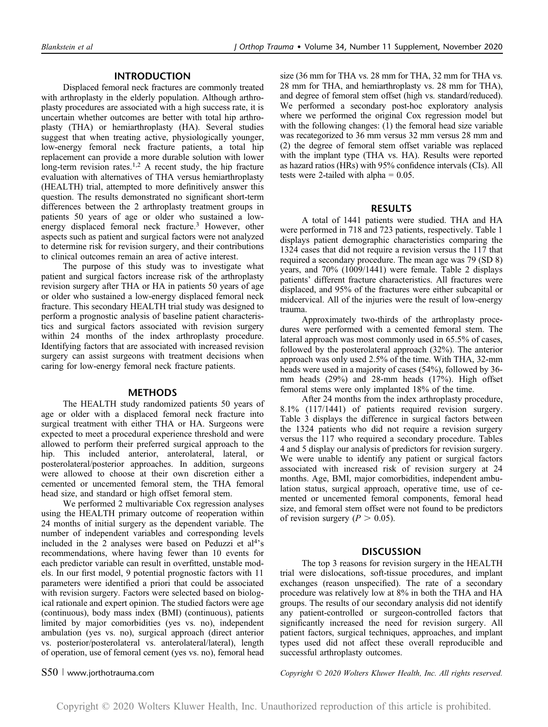# INTRODUCTION

Displaced femoral neck fractures are commonly treated with arthroplasty in the elderly population. Although arthroplasty procedures are associated with a high success rate, it is uncertain whether outcomes are better with total hip arthroplasty (THA) or hemiarthroplasty (HA). Several studies suggest that when treating active, physiologically younger, low-energy femoral neck fracture patients, a total hip replacement can provide a more durable solution with lower long-term revision rates.<sup>1,2</sup> A recent study, the hip fracture evaluation with alternatives of THA versus hemiarthroplasty (HEALTH) trial, attempted to more definitively answer this question. The results demonstrated no significant short-term differences between the 2 arthroplasty treatment groups in patients 50 years of age or older who sustained a lowenergy displaced femoral neck fracture.<sup>3</sup> However, other aspects such as patient and surgical factors were not analyzed to determine risk for revision surgery, and their contributions to clinical outcomes remain an area of active interest.

The purpose of this study was to investigate what patient and surgical factors increase risk of the arthroplasty revision surgery after THA or HA in patients 50 years of age or older who sustained a low-energy displaced femoral neck fracture. This secondary HEALTH trial study was designed to perform a prognostic analysis of baseline patient characteristics and surgical factors associated with revision surgery within 24 months of the index arthroplasty procedure. Identifying factors that are associated with increased revision surgery can assist surgeons with treatment decisions when caring for low-energy femoral neck fracture patients.

# **METHODS**

The HEALTH study randomized patients 50 years of age or older with a displaced femoral neck fracture into surgical treatment with either THA or HA. Surgeons were expected to meet a procedural experience threshold and were allowed to perform their preferred surgical approach to the hip. This included anterior, anterolateral, lateral, or posterolateral/posterior approaches. In addition, surgeons were allowed to choose at their own discretion either a cemented or uncemented femoral stem, the THA femoral head size, and standard or high offset femoral stem.

We performed 2 multivariable Cox regression analyses using the HEALTH primary outcome of reoperation within 24 months of initial surgery as the dependent variable. The number of independent variables and corresponding levels included in the 2 analyses were based on Peduzzi et al<sup>4</sup>'s recommendations, where having fewer than 10 events for each predictor variable can result in overfitted, unstable models. In our first model, 9 potential prognostic factors with 11 parameters were identified a priori that could be associated with revision surgery. Factors were selected based on biological rationale and expert opinion. The studied factors were age (continuous), body mass index (BMI) (continuous), patients limited by major comorbidities (yes vs. no), independent ambulation (yes vs. no), surgical approach (direct anterior vs. posterior/posterolateral vs. anterolateral/lateral), length of operation, use of femoral cement (yes vs. no), femoral head

size (36 mm for THA vs. 28 mm for THA, 32 mm for THA vs. 28 mm for THA, and hemiarthroplasty vs. 28 mm for THA), and degree of femoral stem offset (high vs. standard/reduced). We performed a secondary post-hoc exploratory analysis where we performed the original Cox regression model but with the following changes: (1) the femoral head size variable was recategorized to 36 mm versus 32 mm versus 28 mm and (2) the degree of femoral stem offset variable was replaced with the implant type (THA vs. HA). Results were reported as hazard ratios (HRs) with 95% confidence intervals (CIs). All tests were 2-tailed with alpha = 0.05.

# RESULTS

A total of 1441 patients were studied. THA and HA were performed in 718 and 723 patients, respectively. Table 1 displays patient demographic characteristics comparing the 1324 cases that did not require a revision versus the 117 that required a secondary procedure. The mean age was 79 (SD 8) years, and 70% (1009/1441) were female. Table 2 displays patients' different fracture characteristics. All fractures were displaced, and 95% of the fractures were either subcapital or midcervical. All of the injuries were the result of low-energy trauma.

Approximately two-thirds of the arthroplasty procedures were performed with a cemented femoral stem. The lateral approach was most commonly used in 65.5% of cases, followed by the posterolateral approach (32%). The anterior approach was only used 2.5% of the time. With THA, 32-mm heads were used in a majority of cases (54%), followed by 36 mm heads (29%) and 28-mm heads (17%). High offset femoral stems were only implanted 18% of the time.

After 24 months from the index arthroplasty procedure, 8.1% (117/1441) of patients required revision surgery. Table 3 displays the difference in surgical factors between the 1324 patients who did not require a revision surgery versus the 117 who required a secondary procedure. Tables 4 and 5 display our analysis of predictors for revision surgery. We were unable to identify any patient or surgical factors associated with increased risk of revision surgery at 24 months. Age, BMI, major comorbidities, independent ambulation status, surgical approach, operative time, use of cemented or uncemented femoral components, femoral head size, and femoral stem offset were not found to be predictors of revision surgery ( $P > 0.05$ ).

# **DISCUSSION**

The top 3 reasons for revision surgery in the HEALTH trial were dislocations, soft-tissue procedures, and implant exchanges (reason unspecified). The rate of a secondary procedure was relatively low at 8% in both the THA and HA groups. The results of our secondary analysis did not identify any patient-controlled or surgeon-controlled factors that significantly increased the need for revision surgery. All patient factors, surgical techniques, approaches, and implant types used did not affect these overall reproducible and successful arthroplasty outcomes.

S50 | www.jorthotrauma.com Copyright © 2020 Wolters Kluwer Health, Inc. All rights reserved.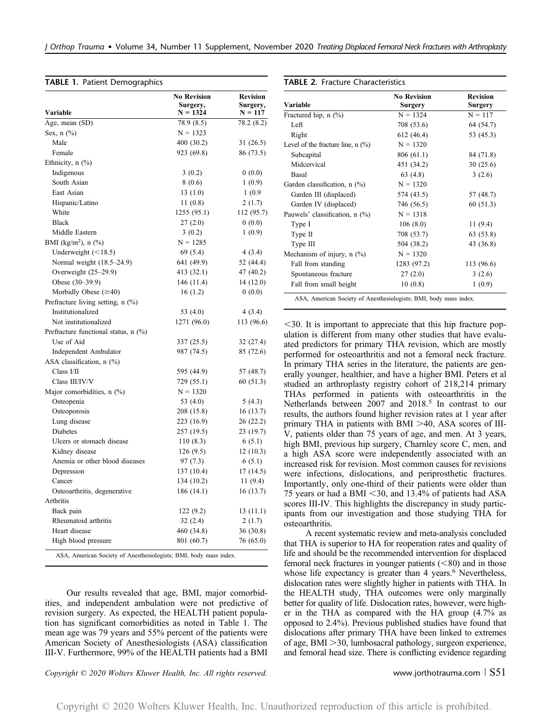### TABLE 1. Patient Demographics

|                                        | <b>No Revision</b><br>Surgery, | <b>Revision</b><br>Surgery, |
|----------------------------------------|--------------------------------|-----------------------------|
|                                        |                                |                             |
| Age, mean (SD)                         | 78.9 (8.5)                     | 78.2 (8.2)                  |
| Sex, $n$ $(\%)$                        | $N = 1323$                     |                             |
| Male                                   | 400 (30.2)                     | 31 (26.5)                   |
| Female                                 | 923 (69.8)                     | 86 (73.5)                   |
| Ethnicity, n (%)                       |                                |                             |
| Indigenous                             | 3(0.2)                         | 0(0.0)                      |
| South Asian                            | 8(0.6)                         | 1(0.9)                      |
| East Asian                             | 13(1.0)                        | 1(0.9)                      |
| Hispanic/Latino                        | 11(0.8)                        | 2(1.7)                      |
| White                                  | 1255 (95.1)                    | 112 (95.7)                  |
| <b>Black</b>                           | 27(2.0)                        | 0(0.0)                      |
| Middle Eastern                         | 3(0.2)                         | 1(0.9)                      |
| BMI ( $kg/m^2$ ), n (%)                | $N = 1285$                     |                             |
| Underweight $(<18.5)$                  | 69 (5.4)                       | 4(3.4)                      |
| Normal weight (18.5-24.9)              | 641 (49.9)                     | 52 (44.4)                   |
| Overweight (25-29.9)                   | 413 (32.1)                     | 47 (40.2)                   |
| Obese (30–39.9)                        | 146 (11.4)                     | 14(12.0)                    |
| Morbidly Obese $(\geq 40)$             | 16(1.2)                        | 0(0.0)                      |
| Prefracture living setting, $n$ $(\%)$ |                                |                             |
| Institutionalized                      | 53 (4.0)                       | 4(3.4)                      |
| Not institutionalized                  | 1271 (96.0)                    | 113 (96.6)                  |
| Prefracture functional status, $n$ (%) |                                |                             |
| Use of Aid                             | 337 (25.5)                     | 32 (27.4)                   |
| Independent Ambulator                  | 987 (74.5)                     | 85 (72.6)                   |
| ASA classification, $n$ $(\%)$         |                                |                             |
| Class I/II                             | 595 (44.9)                     | 57 (48.7)                   |
| Class III/IV/V                         | 729 (55.1)                     | 60(51.3)                    |
| Major comorbidities, $n$ (%)           | $N = 1320$                     |                             |
| Osteopenia                             | 53 $(4.0)$                     | 5(4.3)                      |
| Osteoporosis                           | 208 (15.8)                     | 16(13.7)                    |
| Lung disease                           | 223 (16.9)                     | 26 (22.2)                   |
| Diabetes                               | 257 (19.5)                     | 23(19.7)                    |
| Ulcers or stomach disease              | 110(8.3)                       | 6(5.1)                      |
| Kidney disease                         |                                |                             |
| Anemia or other blood diseases         | 126(9.5)                       | 12(10.3)                    |
|                                        | 97 (7.3)                       | 6(5.1)                      |
| Depression                             | 137 (10.4)                     | 17(14.5)                    |
| Cancer                                 | 134 (10.2)                     | 11 $(9.4)$                  |
| Osteoarthritis, degenerative           | 186 (14.1)                     | 16(13.7)                    |
| Arthritis                              |                                |                             |
| Back pain                              | 122(9.2)                       | 13(11.1)                    |
| Rheumatoid arthritis                   | 32(2.4)                        | 2(1.7)                      |
| Heart disease                          | 460 (34.8)                     | 36(30.8)                    |
| High blood pressure                    | 801 (60.7)                     | 76 (65.0)                   |

ASA, American Society of Anesthesiologists; BMI, body mass index.

Our results revealed that age, BMI, major comorbidities, and independent ambulation were not predictive of revision surgery. As expected, the HEALTH patient population has significant comorbidities as noted in Table 1. The mean age was 79 years and 55% percent of the patients were American Society of Anesthesiologists (ASA) classification III-V. Furthermore, 99% of the HEALTH patients had a BMI

## TABLE 2. Fracture Characteristics

|                                        | <b>No Revision</b> | <b>Revision</b> |  |
|----------------------------------------|--------------------|-----------------|--|
| Variable                               | Surgery            | <b>Surgery</b>  |  |
| Fractured hip, $n$ $(\%)$              | $N = 1324$         | $N = 117$       |  |
| Left                                   | 708 (53.6)         | 64 (54.7)       |  |
| Right                                  | 612 (46.4)         | 53 (45.3)       |  |
| Level of the fracture line, $n$ $(\%)$ | $N = 1320$         |                 |  |
| Subcapital                             | 806 (61.1)         | 84 (71.8)       |  |
| Midcervical                            | 451 (34.2)         | 30(25.6)        |  |
| Basal                                  | 63(4.8)            | 3(2.6)          |  |
| Garden classification, $n$ (%)         | $N = 1320$         |                 |  |
| Garden III (displaced)                 | 574 (43.5)         | 57 (48.7)       |  |
| Garden IV (displaced)                  | 746 (56.5)         | 60 (51.3)       |  |
| Pauwels' classification, n (%)         | $N = 1318$         |                 |  |
| Type I                                 | 106(8.0)           | 11(9.4)         |  |
| Type II                                | 708 (53.7)         | 63 (53.8)       |  |
| Type III                               | 504 (38.2)         | 43 (36.8)       |  |
| Mechanism of injury, $n$ (%)           | $N = 1320$         |                 |  |
| Fall from standing                     | 1283 (97.2)        | 113 (96.6)      |  |
| Spontaneous fracture                   | 27(2.0)            | 3(2.6)          |  |
| Fall from small height                 | 10(0.8)            | 1(0.9)          |  |

 $<$ 30. It is important to appreciate that this hip fracture population is different from many other studies that have evaluated predictors for primary THA revision, which are mostly performed for osteoarthritis and not a femoral neck fracture. In primary THA series in the literature, the patients are generally younger, healthier, and have a higher BMI. Peters et al studied an arthroplasty registry cohort of 218,214 primary THAs performed in patients with osteoarthritis in the Netherlands between 2007 and 2018.<sup>5</sup> In contrast to our results, the authors found higher revision rates at 1 year after primary THA in patients with BMI  $>40$ , ASA scores of III-V, patients older than 75 years of age, and men. At 3 years, high BMI, previous hip surgery, Charnley score C, men, and a high ASA score were independently associated with an increased risk for revision. Most common causes for revisions were infections, dislocations, and periprosthetic fractures. Importantly, only one-third of their patients were older than 75 years or had a BMI  $\leq$ 30, and 13.4% of patients had ASA scores III-IV. This highlights the discrepancy in study participants from our investigation and those studying THA for osteoarthritis.

A recent systematic review and meta-analysis concluded that THA is superior to HA for reoperation rates and quality of life and should be the recommended intervention for displaced femoral neck fractures in younger patients  $(< 80$ ) and in those whose life expectancy is greater than 4 years.<sup>6</sup> Nevertheless, dislocation rates were slightly higher in patients with THA. In the HEALTH study, THA outcomes were only marginally better for quality of life. Dislocation rates, however, were higher in the THA as compared with the HA group (4.7% as opposed to 2.4%). Previous published studies have found that dislocations after primary THA have been linked to extremes of age, BMI > 30, lumbosacral pathology, surgeon experience, and femoral head size. There is conflicting evidence regarding

### Copyright © 2020 Wolters Kluwer Health, Inc. All rights reserved. www.jorthotrauma.com | S51

Copyright © 2020 Wolters Kluwer Health, Inc. Unauthorized reproduction of this article is prohibited.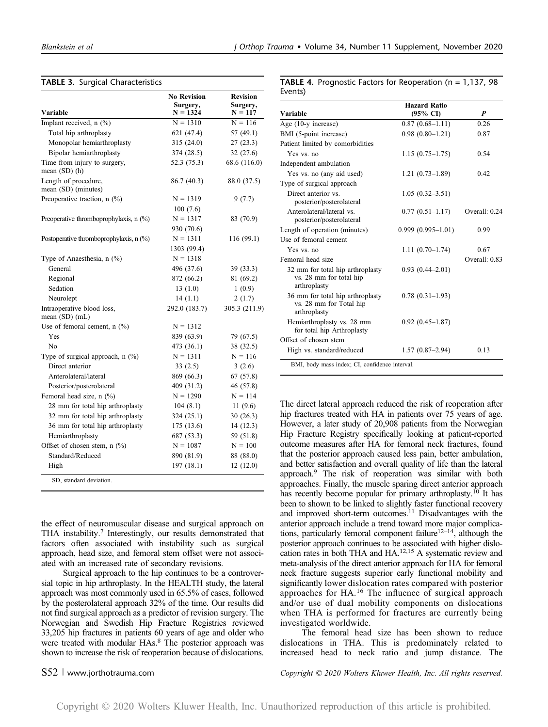# TABLE 3. Surgical Characteristics

|                                                  | <b>No Revision</b> | <b>Revision</b> |
|--------------------------------------------------|--------------------|-----------------|
|                                                  | Surgery,           | Surgery,        |
| Variable                                         | $N = 1324$         | $N = 117$       |
| Implant received, n (%)                          | $N = 1310$         | $N = 116$       |
| Total hip arthroplasty                           | 621 (47.4)         | 57 (49.1)       |
| Monopolar hemiarthroplasty                       | 315(24.0)          | 27(23.3)        |
| Bipolar hemiarthroplasty                         | 374 (28.5)         | 32(27.6)        |
| Time from injury to surgery,<br>mean $(SD)$ (h)  | 52.3(75.3)         | 68.6 (116.0)    |
| Length of procedure,<br>mean (SD) (minutes)      | 86.7 (40.3)        | 88.0 (37.5)     |
| Preoperative traction, $n$ (%)                   | $N = 1319$         | 9(7.7)          |
|                                                  | 100(7.6)           |                 |
| Preoperative thromboprophylaxis, $n$ (%)         | $N = 1317$         | 83 (70.9)       |
|                                                  | 930 (70.6)         |                 |
| Postoperative thromboprophylaxis, $n$ (%)        | $N = 1311$         | 116 (99.1)      |
|                                                  | 1303 (99.4)        |                 |
| Type of Anaesthesia, n (%)                       | $N = 1318$         |                 |
| General                                          | 496 (37.6)         | 39 (33.3)       |
| Regional                                         | 872 (66.2)         | 81 (69.2)       |
| Sedation                                         | 13(1.0)            | 1(0.9)          |
| Neurolept                                        | 14(1.1)            | 2(1.7)          |
| Intraoperative blood loss,<br>mean $(SD)$ $(mL)$ | 292.0 (183.7)      | 305.3 (211.9)   |
| Use of femoral cement, $n$ (%)                   | $N = 1312$         |                 |
| Yes                                              | 839 (63.9)         | 79 (67.5)       |
| N <sub>0</sub>                                   | 473 (36.1)         | 38 (32.5)       |
| Type of surgical approach, $n$ (%)               | $N = 1311$         | $N = 116$       |
| Direct anterior                                  | 33(2.5)            | 3(2.6)          |
| Anterolateral/lateral                            | 869 (66.3)         | 67 (57.8)       |
| Posterior/posterolateral                         | 409 (31.2)         | 46 (57.8)       |
| Femoral head size, n (%)                         | $N = 1290$         | $N = 114$       |
| 28 mm for total hip arthroplasty                 | 104(8.1)           | 11(9.6)         |
| 32 mm for total hip arthroplasty                 | 324(25.1)          | 30(26.3)        |
| 36 mm for total hip arthroplasty                 | 175 (13.6)         | 14 (12.3)       |
| Hemiarthroplasty                                 | 687 (53.3)         | 59 (51.8)       |
| Offset of chosen stem, n (%)                     | $N = 1087$         | $N = 100$       |
| Standard/Reduced                                 | 890 (81.9)         | 88 (88.0)       |
| High                                             | 197 (18.1)         | 12(12.0)        |
| SD, standard deviation.                          |                    |                 |

the effect of neuromuscular disease and surgical approach on THA instability.<sup>7</sup> Interestingly, our results demonstrated that factors often associated with instability such as surgical approach, head size, and femoral stem offset were not associated with an increased rate of secondary revisions.

Surgical approach to the hip continues to be a controversial topic in hip arthroplasty. In the HEALTH study, the lateral approach was most commonly used in 65.5% of cases, followed by the posterolateral approach 32% of the time. Our results did not find surgical approach as a predictor of revision surgery. The Norwegian and Swedish Hip Fracture Registries reviewed 33,205 hip fractures in patients 60 years of age and older who were treated with modular HAs.<sup>8</sup> The posterior approach was shown to increase the risk of reoperation because of dislocations.

**TABLE 4.** Prognostic Factors for Reoperation ( $n = 1,137,98$ Events)

| Variable                                                                    | <b>Hazard Ratio</b><br>$(95\% \text{ CI})$ | P             |
|-----------------------------------------------------------------------------|--------------------------------------------|---------------|
| Age $(10-y$ increase)                                                       | $0.87(0.68 - 1.11)$                        | 0.26          |
| BMI (5-point increase)                                                      | $0.98(0.80-1.21)$                          | 0.87          |
| Patient limited by comorbidities                                            |                                            |               |
| Yes vs. no                                                                  | $1.15(0.75-1.75)$                          | 0.54          |
| Independent ambulation                                                      |                                            |               |
| Yes vs. no (any aid used)                                                   | $1.21(0.73-1.89)$                          | 0.42          |
| Type of surgical approach                                                   |                                            |               |
| Direct anterior vs.<br>posterior/posterolateral                             | $1.05(0.32 - 3.51)$                        |               |
| Anterolateral/lateral vs.<br>posterior/posterolateral                       | $0.77(0.51-1.17)$                          | Overall: 0.24 |
| Length of operation (minutes)                                               | $0.999(0.995-1.01)$                        | 0.99          |
| Use of femoral cement                                                       |                                            |               |
| Yes vs. no                                                                  | $1.11(0.70-1.74)$                          | 0.67          |
| Femoral head size                                                           |                                            | Overall: 0.83 |
| 32 mm for total hip arthroplasty<br>vs. 28 mm for total hip<br>arthroplasty | $0.93(0.44 - 2.01)$                        |               |
| 36 mm for total hip arthroplasty<br>vs. 28 mm for Total hip<br>arthroplasty | $0.78(0.31-1.93)$                          |               |
| Hemiarthroplasty vs. 28 mm<br>for total hip Arthroplasty                    | $0.92(0.45 - 1.87)$                        |               |
| Offset of chosen stem                                                       |                                            |               |
| High vs. standard/reduced                                                   | $1.57(0.87-2.94)$                          | 0.13          |

The direct lateral approach reduced the risk of reoperation after hip fractures treated with HA in patients over 75 years of age. However, a later study of 20,908 patients from the Norwegian Hip Fracture Registry specifically looking at patient-reported outcome measures after HA for femoral neck fractures, found that the posterior approach caused less pain, better ambulation, and better satisfaction and overall quality of life than the lateral approach.9 The risk of reoperation was similar with both approaches. Finally, the muscle sparing direct anterior approach has recently become popular for primary arthroplasty.<sup>10</sup> It has been to shown to be linked to slightly faster functional recovery and improved short-term outcomes.11 Disadvantages with the anterior approach include a trend toward more major complications, particularly femoral component failure $12-14$ , although the posterior approach continues to be associated with higher dislocation rates in both THA and HA.12,15 A systematic review and meta-analysis of the direct anterior approach for HA for femoral neck fracture suggests superior early functional mobility and significantly lower dislocation rates compared with posterior approaches for HA.<sup>16</sup> The influence of surgical approach and/or use of dual mobility components on dislocations when THA is performed for fractures are currently being investigated worldwide.

The femoral head size has been shown to reduce dislocations in THA. This is predominately related to increased head to neck ratio and jump distance. The

S52 | www.jorthotrauma.com Copyright © 2020 Wolters Kluwer Health, Inc. All rights reserved.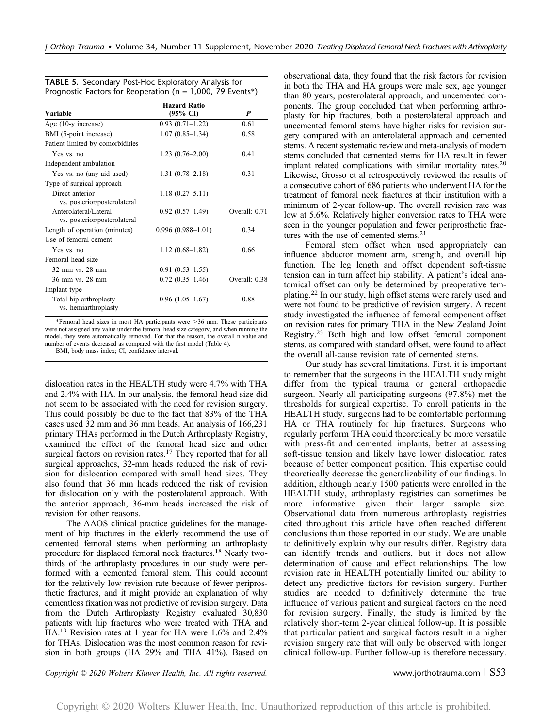|                                                | <b>Hazard Ratio</b>   |               |  |
|------------------------------------------------|-----------------------|---------------|--|
| Variable                                       | $(95\% \text{ CI})$   | P             |  |
| Age (10-y increase)                            | $0.93(0.71 - 1.22)$   | 0.61          |  |
| BMI (5-point increase)                         | $1.07(0.85-1.34)$     | 0.58          |  |
| Patient limited by comorbidities               |                       |               |  |
| Yes vs. no                                     | $1.23(0.76-2.00)$     | 0.41          |  |
| Independent ambulation                         |                       |               |  |
| Yes vs. no (any aid used)                      | $1.31(0.78 - 2.18)$   | 0.31          |  |
| Type of surgical approach                      |                       |               |  |
| Direct anterior                                | $1.18(0.27 - 5.11)$   |               |  |
| vs. posterior/posterolateral                   |                       |               |  |
| Anterolateral/Lateral                          | $0.92(0.57-1.49)$     | Overall: 0.71 |  |
| vs. posterior/posterolateral                   |                       |               |  |
| Length of operation (minutes)                  | $0.996(0.988 - 1.01)$ | 0.34          |  |
| Use of femoral cement                          |                       |               |  |
| Yes vs. no                                     | $1.12(0.68-1.82)$     | 0.66          |  |
| Femoral head size                              |                       |               |  |
| 32 mm vs. 28 mm                                | $0.91(0.53 - 1.55)$   |               |  |
| 36 mm vs. 28 mm                                | $0.72(0.35-1.46)$     | Overall: 0.38 |  |
| Implant type                                   |                       |               |  |
| Total hip arthroplasty<br>vs. hemiarthroplasty | $0.96(1.05-1.67)$     | 0.88          |  |

TABLE 5. Secondary Post-Hoc Exploratory Analysis for Prognostic Factors for Reoperation ( $n = 1,000$ , 79 Events\*)

\*Femoral head sizes in most HA participants were .36 mm. These participants were not assigned any value under the femoral head size category, and when running the model, they were automatically removed. For that the reason, the overall n value and number of events decreased as compared with the first model (Table 4). BMI, body mass index; CI, confidence interval.

dislocation rates in the HEALTH study were 4.7% with THA and 2.4% with HA. In our analysis, the femoral head size did not seem to be associated with the need for revision surgery. This could possibly be due to the fact that 83% of the THA cases used 32 mm and 36 mm heads. An analysis of 166,231 primary THAs performed in the Dutch Arthroplasty Registry, examined the effect of the femoral head size and other surgical factors on revision rates.<sup>17</sup> They reported that for all surgical approaches, 32-mm heads reduced the risk of revision for dislocation compared with small head sizes. They also found that 36 mm heads reduced the risk of revision for dislocation only with the posterolateral approach. With the anterior approach, 36-mm heads increased the risk of revision for other reasons.

The AAOS clinical practice guidelines for the management of hip fractures in the elderly recommend the use of cemented femoral stems when performing an arthroplasty procedure for displaced femoral neck fractures.18 Nearly twothirds of the arthroplasty procedures in our study were performed with a cemented femoral stem. This could account for the relatively low revision rate because of fewer periprosthetic fractures, and it might provide an explanation of why cementless fixation was not predictive of revision surgery. Data from the Dutch Arthroplasty Registry evaluated 30,830 patients with hip fractures who were treated with THA and HA.19 Revision rates at 1 year for HA were 1.6% and 2.4% for THAs. Dislocation was the most common reason for revision in both groups (HA 29% and THA 41%). Based on

observational data, they found that the risk factors for revision in both the THA and HA groups were male sex, age younger than 80 years, posterolateral approach, and uncemented components. The group concluded that when performing arthroplasty for hip fractures, both a posterolateral approach and uncemented femoral stems have higher risks for revision surgery compared with an anterolateral approach and cemented stems. A recent systematic review and meta-analysis of modern stems concluded that cemented stems for HA result in fewer implant related complications with similar mortality rates.<sup>20</sup> Likewise, Grosso et al retrospectively reviewed the results of a consecutive cohort of 686 patients who underwent HA for the treatment of femoral neck fractures at their institution with a minimum of 2-year follow-up. The overall revision rate was low at 5.6%. Relatively higher conversion rates to THA were seen in the younger population and fewer periprosthetic fractures with the use of cemented stems.<sup>21</sup>

Femoral stem offset when used appropriately can influence abductor moment arm, strength, and overall hip function. The leg length and offset dependent soft-tissue tension can in turn affect hip stability. A patient's ideal anatomical offset can only be determined by preoperative templating.<sup>22</sup> In our study, high offset stems were rarely used and were not found to be predictive of revision surgery. A recent study investigated the influence of femoral component offset on revision rates for primary THA in the New Zealand Joint Registry.<sup>23</sup> Both high and low offset femoral component stems, as compared with standard offset, were found to affect the overall all-cause revision rate of cemented stems.

Our study has several limitations. First, it is important to remember that the surgeons in the HEALTH study might differ from the typical trauma or general orthopaedic surgeon. Nearly all participating surgeons (97.8%) met the thresholds for surgical expertise. To enroll patients in the HEALTH study, surgeons had to be comfortable performing HA or THA routinely for hip fractures. Surgeons who regularly perform THA could theoretically be more versatile with press-fit and cemented implants, better at assessing soft-tissue tension and likely have lower dislocation rates because of better component position. This expertise could theoretically decrease the generalizability of our findings. In addition, although nearly 1500 patients were enrolled in the HEALTH study, arthroplasty registries can sometimes be more informative given their larger sample size. Observational data from numerous arthroplasty registries cited throughout this article have often reached different conclusions than those reported in our study. We are unable to definitively explain why our results differ. Registry data can identify trends and outliers, but it does not allow determination of cause and effect relationships. The low revision rate in HEALTH potentially limited our ability to detect any predictive factors for revision surgery. Further studies are needed to definitively determine the true influence of various patient and surgical factors on the need for revision surgery. Finally, the study is limited by the relatively short-term 2-year clinical follow-up. It is possible that particular patient and surgical factors result in a higher revision surgery rate that will only be observed with longer clinical follow-up. Further follow-up is therefore necessary.

Copyright © 2020 Wolters Kluwer Health, Inc. All rights reserved. www.jorthotrauma.com | S53